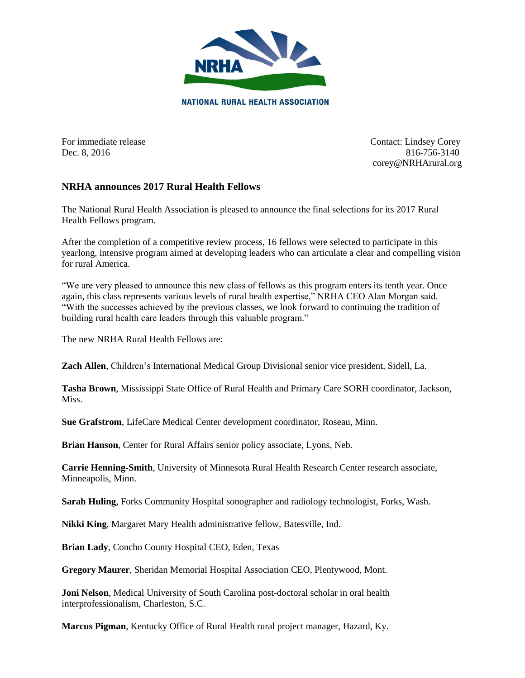

For immediate release Contact: Lindsey Corey Dec. 8, 2016 816-756-3140 corey@NRHArural.org

## **NRHA announces 2017 Rural Health Fellows**

The National Rural Health Association is pleased to announce the final selections for its 2017 Rural Health Fellows program.

After the completion of a competitive review process, 16 fellows were selected to participate in this yearlong, intensive program aimed at developing leaders who can articulate a clear and compelling vision for rural America.

"We are very pleased to announce this new class of fellows as this program enters its tenth year. Once again, this class represents various levels of rural health expertise," NRHA CEO Alan Morgan said. "With the successes achieved by the previous classes, we look forward to continuing the tradition of building rural health care leaders through this valuable program."

The new NRHA Rural Health Fellows are:

**Zach Allen**, Children's International Medical Group Divisional senior vice president, Sidell, La.

**Tasha Brown**, Mississippi State Office of Rural Health and Primary Care SORH coordinator, Jackson, Miss.

**Sue Grafstrom**, LifeCare Medical Center development coordinator, Roseau, Minn.

**Brian Hanson**, Center for Rural Affairs senior policy associate, Lyons, Neb.

**Carrie Henning-Smith**, University of Minnesota Rural Health Research Center research associate, Minneapolis, Minn.

**Sarah Huling**, Forks Community Hospital sonographer and radiology technologist, Forks, Wash.

**Nikki King**, Margaret Mary Health administrative fellow, Batesville, Ind.

**Brian Lady**, Concho County Hospital CEO, Eden, Texas

**Gregory Maurer**, Sheridan Memorial Hospital Association CEO, Plentywood, Mont.

**Joni Nelson**, Medical University of South Carolina post-doctoral scholar in oral health interprofessionalism, Charleston, S.C.

**Marcus Pigman**, Kentucky Office of Rural Health rural project manager, Hazard, Ky.